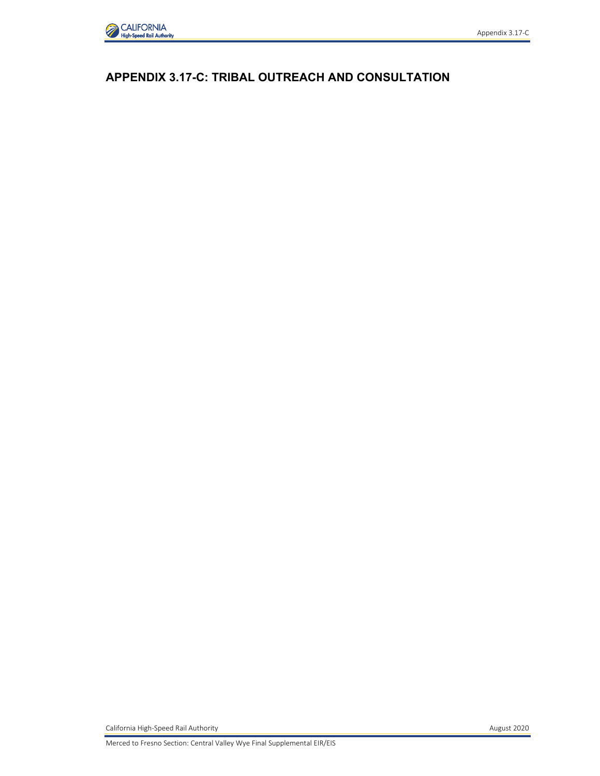

Appendix 3.17-C

California High-Speed Rail Authority **August 2020**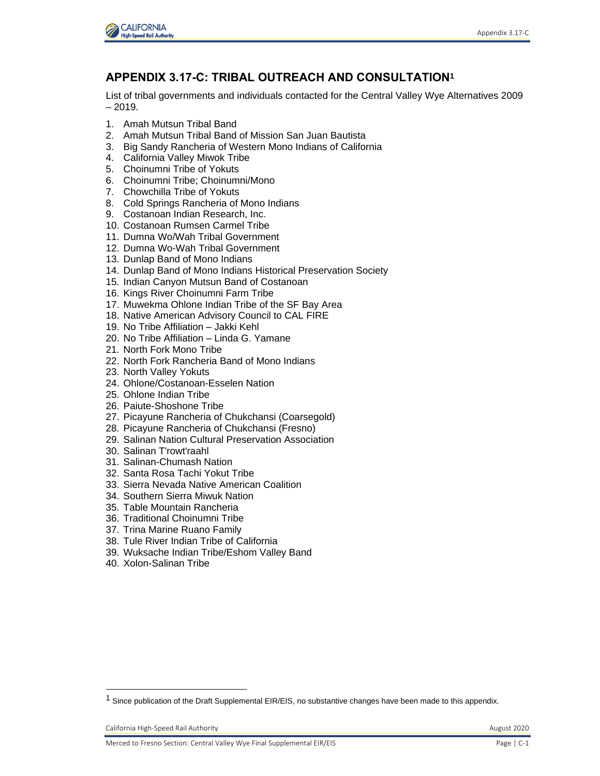

## **APPENDIX 3.17-C: TRIBAL OUTREACH AND CONSULTATION<sup>1</sup>**

List of tribal governments and individuals contacted for the Central Valley Wye Alternatives 2009  $-2019.$ 

- 1. Amah Mutsun Tribal Band
- 2. Amah Mutsun Tribal Band of Mission San Juan Bautista
- 3. Big Sandy Rancheria of Western Mono Indians of California
- 4. California Valley Miwok Tribe
- 5. Choinumni Tribe of Yokuts
- 6. Choinumni Tribe; Choinumni/Mono
- 7. Chowchilla Tribe of Yokuts
- 8. Cold Springs Rancheria of Mono Indians
- 9. Costanoan Indian Research, Inc.
- 10. Costanoan Rumsen Carmel Tribe
- 11. Dumna Wo/Wah Tribal Government
- 12. Dumna Wo-Wah Tribal Government
- 13. Dunlap Band of Mono Indians
- 14. Dunlap Band of Mono Indians Historical Preservation Society
- 15. Indian Canyon Mutsun Band of Costanoan
- 16. Kings River Choinumni Farm Tribe
- 17. Muwekma Ohlone Indian Tribe of the SF Bay Area
- 18. Native American Advisory Council to CAL FIRE
- 19. No Tribe Affiliation Jakki Kehl
- 20. No Tribe Affiliation Linda G. Yamane
- 21. North Fork Mono Tribe
- 22. North Fork Rancheria Band of Mono Indians
- 23. North Valley Yokuts
- 24. Ohlone/Costanoan-Esselen Nation
- 25. Ohlone Indian Tribe
- 26. Paiute-Shoshone Tribe
- 27. Picayune Rancheria of Chukchansi (Coarsegold)
- 28. Picayune Rancheria of Chukchansi (Fresno)
- 29. Salinan Nation Cultural Preservation Association
- 30. Salinan T'rowt'raahl
- 31. Salinan-Chumash Nation
- 32. Santa Rosa Tachi Yokut Tribe
- 33. Sierra Nevada Native American Coalition
- 34. Southern Sierra Miwuk Nation
- 35. Table Mountain Rancheria
- 36. Traditional Choinumni Tribe
- 37. Trina Marine Ruano Family
- 38. Tule River Indian Tribe of California
- 39. Wuksache Indian Tribe/Eshom Valley Band
- 40. Xolon-Salinan Tribe

California High-Speed Rail Authority **August 2020 August 2020** 

<sup>&</sup>lt;sup>1</sup> Since publication of the Draft Supplemental EIR/EIS, no substantive changes have been made to this appendix.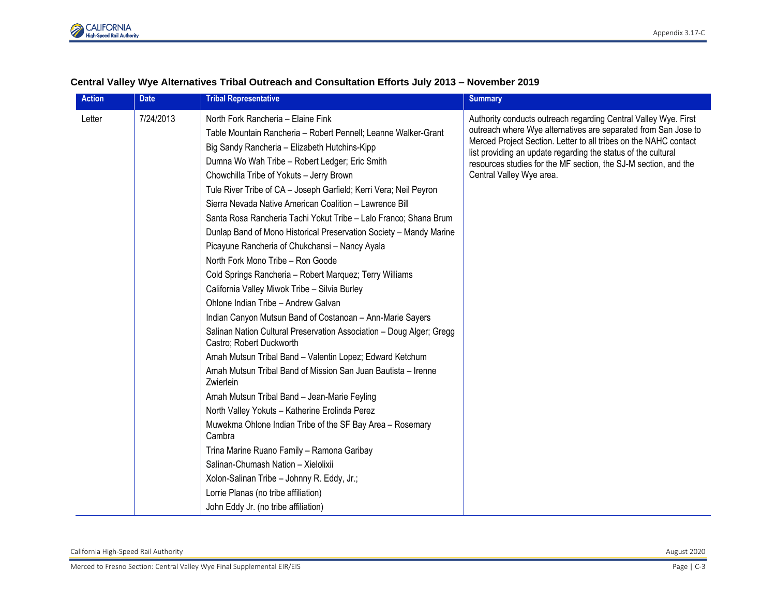

| Central Valley Wye Alternatives Tribal Outreach and Consultation Efforts July 2013 - November 2019 |  |
|----------------------------------------------------------------------------------------------------|--|
|----------------------------------------------------------------------------------------------------|--|

| <b>Action</b> | <b>Date</b> | <b>Tribal Representative</b>                                                                                                                                                                                                                                                                                                                                                                                                                                                                                                                                                                                                                                                                                                                                                                                                                                                                                                                                                                                                                                                                                                                                                                                                                                                                                                                                                                   | <b>Summary</b>                                                                                                                                                                                                                                                                                                                                                        |
|---------------|-------------|------------------------------------------------------------------------------------------------------------------------------------------------------------------------------------------------------------------------------------------------------------------------------------------------------------------------------------------------------------------------------------------------------------------------------------------------------------------------------------------------------------------------------------------------------------------------------------------------------------------------------------------------------------------------------------------------------------------------------------------------------------------------------------------------------------------------------------------------------------------------------------------------------------------------------------------------------------------------------------------------------------------------------------------------------------------------------------------------------------------------------------------------------------------------------------------------------------------------------------------------------------------------------------------------------------------------------------------------------------------------------------------------|-----------------------------------------------------------------------------------------------------------------------------------------------------------------------------------------------------------------------------------------------------------------------------------------------------------------------------------------------------------------------|
| Letter        | 7/24/2013   | North Fork Rancheria - Elaine Fink<br>Table Mountain Rancheria - Robert Pennell; Leanne Walker-Grant<br>Big Sandy Rancheria - Elizabeth Hutchins-Kipp<br>Dumna Wo Wah Tribe - Robert Ledger; Eric Smith<br>Chowchilla Tribe of Yokuts - Jerry Brown<br>Tule River Tribe of CA - Joseph Garfield; Kerri Vera; Neil Peyron<br>Sierra Nevada Native American Coalition - Lawrence Bill<br>Santa Rosa Rancheria Tachi Yokut Tribe - Lalo Franco; Shana Brum<br>Dunlap Band of Mono Historical Preservation Society - Mandy Marine<br>Picayune Rancheria of Chukchansi - Nancy Ayala<br>North Fork Mono Tribe - Ron Goode<br>Cold Springs Rancheria - Robert Marquez; Terry Williams<br>California Valley Miwok Tribe - Silvia Burley<br>Ohlone Indian Tribe - Andrew Galvan<br>Indian Canyon Mutsun Band of Costanoan - Ann-Marie Sayers<br>Salinan Nation Cultural Preservation Association - Doug Alger; Gregg<br>Castro; Robert Duckworth<br>Amah Mutsun Tribal Band - Valentin Lopez; Edward Ketchum<br>Amah Mutsun Tribal Band of Mission San Juan Bautista - Irenne<br>Zwierlein<br>Amah Mutsun Tribal Band - Jean-Marie Feyling<br>North Valley Yokuts - Katherine Erolinda Perez<br>Muwekma Ohlone Indian Tribe of the SF Bay Area - Rosemary<br>Cambra<br>Trina Marine Ruano Family - Ramona Garibay<br>Salinan-Chumash Nation - Xielolixii<br>Xolon-Salinan Tribe - Johnny R. Eddy, Jr.; | Authority conducts outreach regarding Central Valley Wye. First<br>outreach where Wye alternatives are separated from San Jose to<br>Merced Project Section. Letter to all tribes on the NAHC contact<br>list providing an update regarding the status of the cultural<br>resources studies for the MF section, the SJ-M section, and the<br>Central Valley Wye area. |
|               |             | Lorrie Planas (no tribe affiliation)<br>John Eddy Jr. (no tribe affiliation)                                                                                                                                                                                                                                                                                                                                                                                                                                                                                                                                                                                                                                                                                                                                                                                                                                                                                                                                                                                                                                                                                                                                                                                                                                                                                                                   |                                                                                                                                                                                                                                                                                                                                                                       |
|               |             |                                                                                                                                                                                                                                                                                                                                                                                                                                                                                                                                                                                                                                                                                                                                                                                                                                                                                                                                                                                                                                                                                                                                                                                                                                                                                                                                                                                                |                                                                                                                                                                                                                                                                                                                                                                       |

## California High-Speed Rail Authority August 2020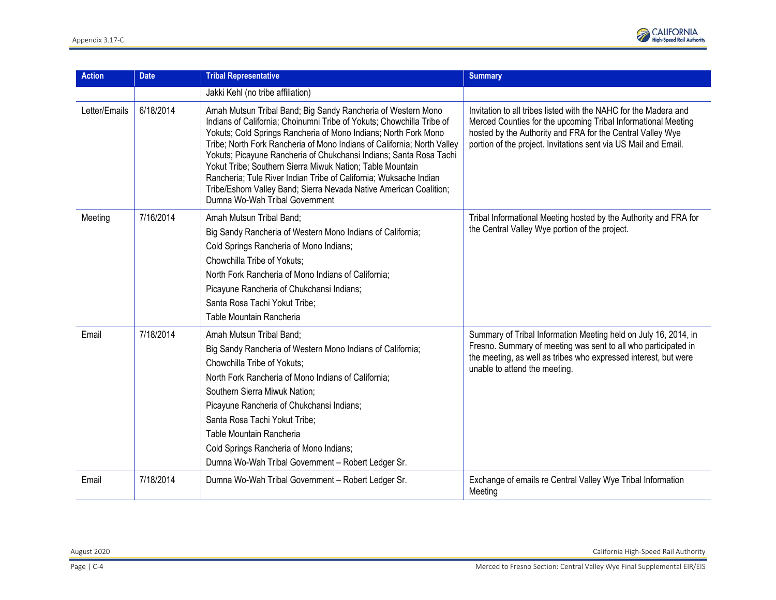

| <b>Action</b> | <b>Date</b> | <b>Tribal Representative</b>                                                                                                                                                                                                                                                                                                                                                                                                                                                                                                                                                                       | <b>Summary</b>                                                                                                                                                                                                                                                     |
|---------------|-------------|----------------------------------------------------------------------------------------------------------------------------------------------------------------------------------------------------------------------------------------------------------------------------------------------------------------------------------------------------------------------------------------------------------------------------------------------------------------------------------------------------------------------------------------------------------------------------------------------------|--------------------------------------------------------------------------------------------------------------------------------------------------------------------------------------------------------------------------------------------------------------------|
|               |             | Jakki Kehl (no tribe affiliation)                                                                                                                                                                                                                                                                                                                                                                                                                                                                                                                                                                  |                                                                                                                                                                                                                                                                    |
| Letter/Emails | 6/18/2014   | Amah Mutsun Tribal Band; Big Sandy Rancheria of Western Mono<br>Indians of California; Choinumni Tribe of Yokuts; Chowchilla Tribe of<br>Yokuts; Cold Springs Rancheria of Mono Indians; North Fork Mono<br>Tribe; North Fork Rancheria of Mono Indians of California; North Valley<br>Yokuts; Picayune Rancheria of Chukchansi Indians; Santa Rosa Tachi<br>Yokut Tribe; Southern Sierra Miwuk Nation; Table Mountain<br>Rancheria; Tule River Indian Tribe of California; Wuksache Indian<br>Tribe/Eshom Valley Band; Sierra Nevada Native American Coalition;<br>Dumna Wo-Wah Tribal Government | Invitation to all tribes listed with the NAHC for the Madera and<br>Merced Counties for the upcoming Tribal Informational Meeting<br>hosted by the Authority and FRA for the Central Valley Wye<br>portion of the project. Invitations sent via US Mail and Email. |
| Meeting       | 7/16/2014   | Amah Mutsun Tribal Band;<br>Big Sandy Rancheria of Western Mono Indians of California;<br>Cold Springs Rancheria of Mono Indians;<br>Chowchilla Tribe of Yokuts;<br>North Fork Rancheria of Mono Indians of California;<br>Picayune Rancheria of Chukchansi Indians;<br>Santa Rosa Tachi Yokut Tribe;<br>Table Mountain Rancheria                                                                                                                                                                                                                                                                  | Tribal Informational Meeting hosted by the Authority and FRA for<br>the Central Valley Wye portion of the project.                                                                                                                                                 |
| Email         | 7/18/2014   | Amah Mutsun Tribal Band;<br>Big Sandy Rancheria of Western Mono Indians of California;<br>Chowchilla Tribe of Yokuts;<br>North Fork Rancheria of Mono Indians of California;<br>Southern Sierra Miwuk Nation;<br>Picayune Rancheria of Chukchansi Indians;<br>Santa Rosa Tachi Yokut Tribe;<br>Table Mountain Rancheria<br>Cold Springs Rancheria of Mono Indians;<br>Dumna Wo-Wah Tribal Government - Robert Ledger Sr.                                                                                                                                                                           | Summary of Tribal Information Meeting held on July 16, 2014, in<br>Fresno. Summary of meeting was sent to all who participated in<br>the meeting, as well as tribes who expressed interest, but were<br>unable to attend the meeting.                              |
| Email         | 7/18/2014   | Dumna Wo-Wah Tribal Government - Robert Ledger Sr.                                                                                                                                                                                                                                                                                                                                                                                                                                                                                                                                                 | Exchange of emails re Central Valley Wye Tribal Information<br>Meeting                                                                                                                                                                                             |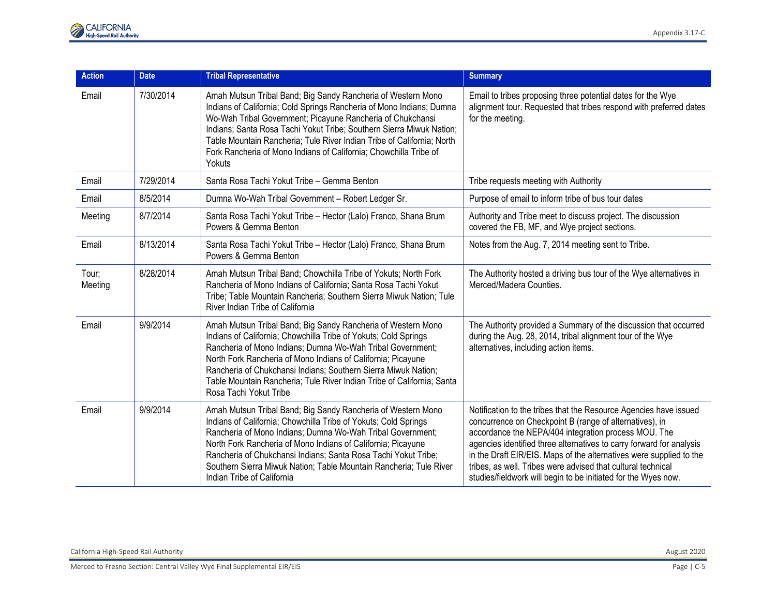| <b>Action</b>    | <b>Date</b> | <b>Tribal Representative</b>                                                                                                                                                                                                                                                                                                                                                                                                        | <b>Summary</b>                                                                                                                                                                                                                                                                                                                                                                                                                                                        |
|------------------|-------------|-------------------------------------------------------------------------------------------------------------------------------------------------------------------------------------------------------------------------------------------------------------------------------------------------------------------------------------------------------------------------------------------------------------------------------------|-----------------------------------------------------------------------------------------------------------------------------------------------------------------------------------------------------------------------------------------------------------------------------------------------------------------------------------------------------------------------------------------------------------------------------------------------------------------------|
| Email            | 7/30/2014   | Amah Mutsun Tribal Band; Big Sandy Rancheria of Western Mono<br>Indians of California; Cold Springs Rancheria of Mono Indians; Dumna<br>Wo-Wah Tribal Government; Picayune Rancheria of Chukchansi<br>Indians; Santa Rosa Tachi Yokut Tribe; Southern Sierra Miwuk Nation;<br>Table Mountain Rancheria; Tule River Indian Tribe of California; North<br>Fork Rancheria of Mono Indians of California; Chowchilla Tribe of<br>Yokuts | Email to tribes proposing three potential dates for the Wye<br>alignment tour. Requested that tribes respond with preferred dates<br>for the meeting.                                                                                                                                                                                                                                                                                                                 |
| Email            | 7/29/2014   | Santa Rosa Tachi Yokut Tribe - Gemma Benton                                                                                                                                                                                                                                                                                                                                                                                         | Tribe requests meeting with Authority                                                                                                                                                                                                                                                                                                                                                                                                                                 |
| Email            | 8/5/2014    | Dumna Wo-Wah Tribal Government - Robert Ledger Sr.                                                                                                                                                                                                                                                                                                                                                                                  | Purpose of email to inform tribe of bus tour dates                                                                                                                                                                                                                                                                                                                                                                                                                    |
| Meeting          | 8/7/2014    | Santa Rosa Tachi Yokut Tribe - Hector (Lalo) Franco, Shana Brum<br>Powers & Gemma Benton                                                                                                                                                                                                                                                                                                                                            | Authority and Tribe meet to discuss project. The discussion<br>covered the FB, MF, and Wye project sections.                                                                                                                                                                                                                                                                                                                                                          |
| Email            | 8/13/2014   | Santa Rosa Tachi Yokut Tribe - Hector (Lalo) Franco, Shana Brum<br>Powers & Gemma Benton                                                                                                                                                                                                                                                                                                                                            | Notes from the Aug. 7, 2014 meeting sent to Tribe.                                                                                                                                                                                                                                                                                                                                                                                                                    |
| Tour;<br>Meeting | 8/28/2014   | Amah Mutsun Tribal Band; Chowchilla Tribe of Yokuts; North Fork<br>Rancheria of Mono Indians of California; Santa Rosa Tachi Yokut<br>Tribe; Table Mountain Rancheria; Southern Sierra Miwuk Nation; Tule<br>River Indian Tribe of California                                                                                                                                                                                       | The Authority hosted a driving bus tour of the Wye alternatives in<br>Merced/Madera Counties.                                                                                                                                                                                                                                                                                                                                                                         |
| Email            | 9/9/2014    | Amah Mutsun Tribal Band; Big Sandy Rancheria of Western Mono<br>Indians of California; Chowchilla Tribe of Yokuts; Cold Springs<br>Rancheria of Mono Indians; Dumna Wo-Wah Tribal Government;<br>North Fork Rancheria of Mono Indians of California; Picayune<br>Rancheria of Chukchansi Indians; Southern Sierra Miwuk Nation;<br>Table Mountain Rancheria; Tule River Indian Tribe of California; Santa<br>Rosa Tachi Yokut Tribe | The Authority provided a Summary of the discussion that occurred<br>during the Aug. 28, 2014, tribal alignment tour of the Wye<br>alternatives, including action items.                                                                                                                                                                                                                                                                                               |
| Email            | 9/9/2014    | Amah Mutsun Tribal Band; Big Sandy Rancheria of Western Mono<br>Indians of California; Chowchilla Tribe of Yokuts; Cold Springs<br>Rancheria of Mono Indians; Dumna Wo-Wah Tribal Government;<br>North Fork Rancheria of Mono Indians of California; Picayune<br>Rancheria of Chukchansi Indians; Santa Rosa Tachi Yokut Tribe;<br>Southern Sierra Miwuk Nation; Table Mountain Rancheria; Tule River<br>Indian Tribe of California | Notification to the tribes that the Resource Agencies have issued<br>concurrence on Checkpoint B (range of alternatives), in<br>accordance the NEPA/404 integration process MOU. The<br>agencies identified three alternatives to carry forward for analysis<br>in the Draft EIR/EIS. Maps of the alternatives were supplied to the<br>tribes, as well. Tribes were advised that cultural technical<br>studies/fieldwork will begin to be initiated for the Wyes now. |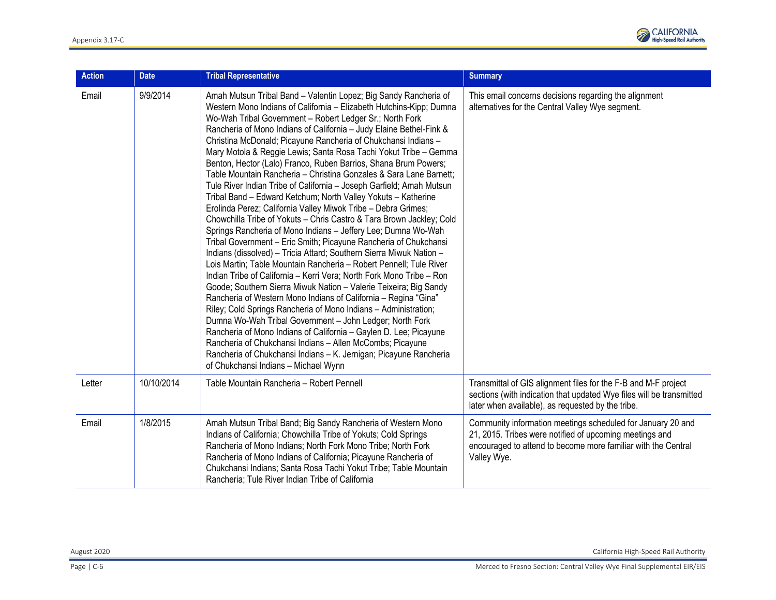

| <b>Action</b> | <b>Date</b> | <b>Tribal Representative</b>                                                                                                                                                                                                                                                                                                                                                                                                                                                                                                                                                                                                                                                                                                                                                                                                                                                                                                                                                                                                                                                                                                                                                                                                                                                                                                                                                                                                                                                                                                                                                                                                                                                                                                | <b>Summary</b>                                                                                                                                                                                         |
|---------------|-------------|-----------------------------------------------------------------------------------------------------------------------------------------------------------------------------------------------------------------------------------------------------------------------------------------------------------------------------------------------------------------------------------------------------------------------------------------------------------------------------------------------------------------------------------------------------------------------------------------------------------------------------------------------------------------------------------------------------------------------------------------------------------------------------------------------------------------------------------------------------------------------------------------------------------------------------------------------------------------------------------------------------------------------------------------------------------------------------------------------------------------------------------------------------------------------------------------------------------------------------------------------------------------------------------------------------------------------------------------------------------------------------------------------------------------------------------------------------------------------------------------------------------------------------------------------------------------------------------------------------------------------------------------------------------------------------------------------------------------------------|--------------------------------------------------------------------------------------------------------------------------------------------------------------------------------------------------------|
| Email         | 9/9/2014    | Amah Mutsun Tribal Band - Valentin Lopez; Big Sandy Rancheria of<br>Western Mono Indians of California - Elizabeth Hutchins-Kipp; Dumna<br>Wo-Wah Tribal Government - Robert Ledger Sr.; North Fork<br>Rancheria of Mono Indians of California - Judy Elaine Bethel-Fink &<br>Christina McDonald; Picayune Rancheria of Chukchansi Indians -<br>Mary Motola & Reggie Lewis; Santa Rosa Tachi Yokut Tribe - Gemma<br>Benton, Hector (Lalo) Franco, Ruben Barrios, Shana Brum Powers;<br>Table Mountain Rancheria - Christina Gonzales & Sara Lane Barnett;<br>Tule River Indian Tribe of California - Joseph Garfield; Amah Mutsun<br>Tribal Band - Edward Ketchum; North Valley Yokuts - Katherine<br>Erolinda Perez; California Valley Miwok Tribe - Debra Grimes;<br>Chowchilla Tribe of Yokuts - Chris Castro & Tara Brown Jackley; Cold<br>Springs Rancheria of Mono Indians - Jeffery Lee; Dumna Wo-Wah<br>Tribal Government - Eric Smith; Picayune Rancheria of Chukchansi<br>Indians (dissolved) - Tricia Attard; Southern Sierra Miwuk Nation -<br>Lois Martin; Table Mountain Rancheria - Robert Pennell; Tule River<br>Indian Tribe of California - Kerri Vera; North Fork Mono Tribe - Ron<br>Goode; Southern Sierra Miwuk Nation - Valerie Teixeira; Big Sandy<br>Rancheria of Western Mono Indians of California - Regina "Gina"<br>Riley; Cold Springs Rancheria of Mono Indians - Administration;<br>Dumna Wo-Wah Tribal Government - John Ledger; North Fork<br>Rancheria of Mono Indians of California - Gaylen D. Lee; Picayune<br>Rancheria of Chukchansi Indians - Allen McCombs; Picayune<br>Rancheria of Chukchansi Indians - K. Jernigan; Picayune Rancheria<br>of Chukchansi Indians - Michael Wynn | This email concerns decisions regarding the alignment<br>alternatives for the Central Valley Wye segment.                                                                                              |
| Letter        | 10/10/2014  | Table Mountain Rancheria - Robert Pennell                                                                                                                                                                                                                                                                                                                                                                                                                                                                                                                                                                                                                                                                                                                                                                                                                                                                                                                                                                                                                                                                                                                                                                                                                                                                                                                                                                                                                                                                                                                                                                                                                                                                                   | Transmittal of GIS alignment files for the F-B and M-F project<br>sections (with indication that updated Wye files will be transmitted<br>later when available), as requested by the tribe.            |
| Email         | 1/8/2015    | Amah Mutsun Tribal Band; Big Sandy Rancheria of Western Mono<br>Indians of California; Chowchilla Tribe of Yokuts; Cold Springs<br>Rancheria of Mono Indians; North Fork Mono Tribe; North Fork<br>Rancheria of Mono Indians of California; Picayune Rancheria of<br>Chukchansi Indians; Santa Rosa Tachi Yokut Tribe; Table Mountain<br>Rancheria; Tule River Indian Tribe of California                                                                                                                                                                                                                                                                                                                                                                                                                                                                                                                                                                                                                                                                                                                                                                                                                                                                                                                                                                                                                                                                                                                                                                                                                                                                                                                                   | Community information meetings scheduled for January 20 and<br>21, 2015. Tribes were notified of upcoming meetings and<br>encouraged to attend to become more familiar with the Central<br>Valley Wye. |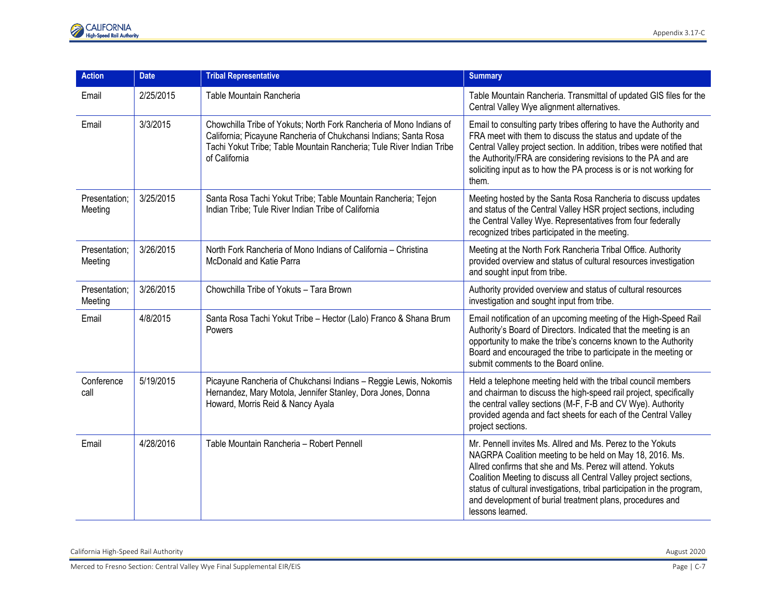| <b>Action</b>            | <b>Date</b> | <b>Tribal Representative</b>                                                                                                                                                                                                     | <b>Summary</b>                                                                                                                                                                                                                                                                                                                                                                                                        |
|--------------------------|-------------|----------------------------------------------------------------------------------------------------------------------------------------------------------------------------------------------------------------------------------|-----------------------------------------------------------------------------------------------------------------------------------------------------------------------------------------------------------------------------------------------------------------------------------------------------------------------------------------------------------------------------------------------------------------------|
| Email                    | 2/25/2015   | Table Mountain Rancheria                                                                                                                                                                                                         | Table Mountain Rancheria. Transmittal of updated GIS files for the<br>Central Valley Wye alignment alternatives.                                                                                                                                                                                                                                                                                                      |
| Email                    | 3/3/2015    | Chowchilla Tribe of Yokuts; North Fork Rancheria of Mono Indians of<br>California; Picayune Rancheria of Chukchansi Indians; Santa Rosa<br>Tachi Yokut Tribe; Table Mountain Rancheria; Tule River Indian Tribe<br>of California | Email to consulting party tribes offering to have the Authority and<br>FRA meet with them to discuss the status and update of the<br>Central Valley project section. In addition, tribes were notified that<br>the Authority/FRA are considering revisions to the PA and are<br>soliciting input as to how the PA process is or is not working for<br>them.                                                           |
| Presentation;<br>Meeting | 3/25/2015   | Santa Rosa Tachi Yokut Tribe; Table Mountain Rancheria; Tejon<br>Indian Tribe; Tule River Indian Tribe of California                                                                                                             | Meeting hosted by the Santa Rosa Rancheria to discuss updates<br>and status of the Central Valley HSR project sections, including<br>the Central Valley Wye. Representatives from four federally<br>recognized tribes participated in the meeting.                                                                                                                                                                    |
| Presentation:<br>Meeting | 3/26/2015   | North Fork Rancheria of Mono Indians of California – Christina<br>McDonald and Katie Parra                                                                                                                                       | Meeting at the North Fork Rancheria Tribal Office. Authority<br>provided overview and status of cultural resources investigation<br>and sought input from tribe.                                                                                                                                                                                                                                                      |
| Presentation;<br>Meeting | 3/26/2015   | Chowchilla Tribe of Yokuts - Tara Brown                                                                                                                                                                                          | Authority provided overview and status of cultural resources<br>investigation and sought input from tribe.                                                                                                                                                                                                                                                                                                            |
| Email                    | 4/8/2015    | Santa Rosa Tachi Yokut Tribe - Hector (Lalo) Franco & Shana Brum<br>Powers                                                                                                                                                       | Email notification of an upcoming meeting of the High-Speed Rail<br>Authority's Board of Directors. Indicated that the meeting is an<br>opportunity to make the tribe's concerns known to the Authority<br>Board and encouraged the tribe to participate in the meeting or<br>submit comments to the Board online.                                                                                                    |
| Conference<br>call       | 5/19/2015   | Picayune Rancheria of Chukchansi Indians - Reggie Lewis, Nokomis<br>Hernandez, Mary Motola, Jennifer Stanley, Dora Jones, Donna<br>Howard, Morris Reid & Nancy Ayala                                                             | Held a telephone meeting held with the tribal council members<br>and chairman to discuss the high-speed rail project, specifically<br>the central valley sections (M-F, F-B and CV Wye). Authority<br>provided agenda and fact sheets for each of the Central Valley<br>project sections.                                                                                                                             |
| Email                    | 4/28/2016   | Table Mountain Rancheria - Robert Pennell                                                                                                                                                                                        | Mr. Pennell invites Ms. Allred and Ms. Perez to the Yokuts<br>NAGRPA Coalition meeting to be held on May 18, 2016. Ms.<br>Allred confirms that she and Ms. Perez will attend. Yokuts<br>Coalition Meeting to discuss all Central Valley project sections,<br>status of cultural investigations, tribal participation in the program,<br>and development of burial treatment plans, procedures and<br>lessons learned. |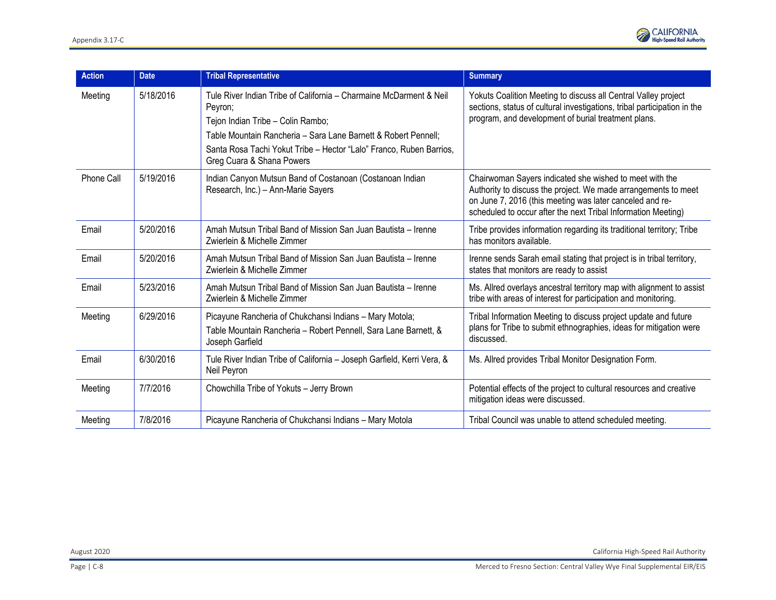

| Action     | <b>Date</b> | <b>Tribal Representative</b>                                                                                                                                                                                                                                                             | <b>Summary</b>                                                                                                                                                                                                                                         |
|------------|-------------|------------------------------------------------------------------------------------------------------------------------------------------------------------------------------------------------------------------------------------------------------------------------------------------|--------------------------------------------------------------------------------------------------------------------------------------------------------------------------------------------------------------------------------------------------------|
| Meeting    | 5/18/2016   | Tule River Indian Tribe of California – Charmaine McDarment & Neil<br>Peyron;<br>Tejon Indian Tribe - Colin Rambo;<br>Table Mountain Rancheria - Sara Lane Barnett & Robert Pennell;<br>Santa Rosa Tachi Yokut Tribe - Hector "Lalo" Franco, Ruben Barrios,<br>Greg Cuara & Shana Powers | Yokuts Coalition Meeting to discuss all Central Valley project<br>sections, status of cultural investigations, tribal participation in the<br>program, and development of burial treatment plans.                                                      |
| Phone Call | 5/19/2016   | Indian Canyon Mutsun Band of Costanoan (Costanoan Indian<br>Research, Inc.) - Ann-Marie Sayers                                                                                                                                                                                           | Chairwoman Sayers indicated she wished to meet with the<br>Authority to discuss the project. We made arrangements to meet<br>on June 7, 2016 (this meeting was later canceled and re-<br>scheduled to occur after the next Tribal Information Meeting) |
| Email      | 5/20/2016   | Amah Mutsun Tribal Band of Mission San Juan Bautista - Irenne<br>Zwierlein & Michelle Zimmer                                                                                                                                                                                             | Tribe provides information regarding its traditional territory; Tribe<br>has monitors available.                                                                                                                                                       |
| Email      | 5/20/2016   | Amah Mutsun Tribal Band of Mission San Juan Bautista – Irenne<br>Zwierlein & Michelle Zimmer                                                                                                                                                                                             | Irenne sends Sarah email stating that project is in tribal territory,<br>states that monitors are ready to assist                                                                                                                                      |
| Email      | 5/23/2016   | Amah Mutsun Tribal Band of Mission San Juan Bautista - Irenne<br>Zwierlein & Michelle Zimmer                                                                                                                                                                                             | Ms. Allred overlays ancestral territory map with alignment to assist<br>tribe with areas of interest for participation and monitoring.                                                                                                                 |
| Meeting    | 6/29/2016   | Picayune Rancheria of Chukchansi Indians - Mary Motola;<br>Table Mountain Rancheria - Robert Pennell, Sara Lane Barnett, &<br>Joseph Garfield                                                                                                                                            | Tribal Information Meeting to discuss project update and future<br>plans for Tribe to submit ethnographies, ideas for mitigation were<br>discussed.                                                                                                    |
| Email      | 6/30/2016   | Tule River Indian Tribe of California - Joseph Garfield, Kerri Vera, &<br>Neil Peyron                                                                                                                                                                                                    | Ms. Allred provides Tribal Monitor Designation Form.                                                                                                                                                                                                   |
| Meeting    | 7/7/2016    | Chowchilla Tribe of Yokuts - Jerry Brown                                                                                                                                                                                                                                                 | Potential effects of the project to cultural resources and creative<br>mitigation ideas were discussed.                                                                                                                                                |
| Meeting    | 7/8/2016    | Picayune Rancheria of Chukchansi Indians - Mary Motola                                                                                                                                                                                                                                   | Tribal Council was unable to attend scheduled meeting.                                                                                                                                                                                                 |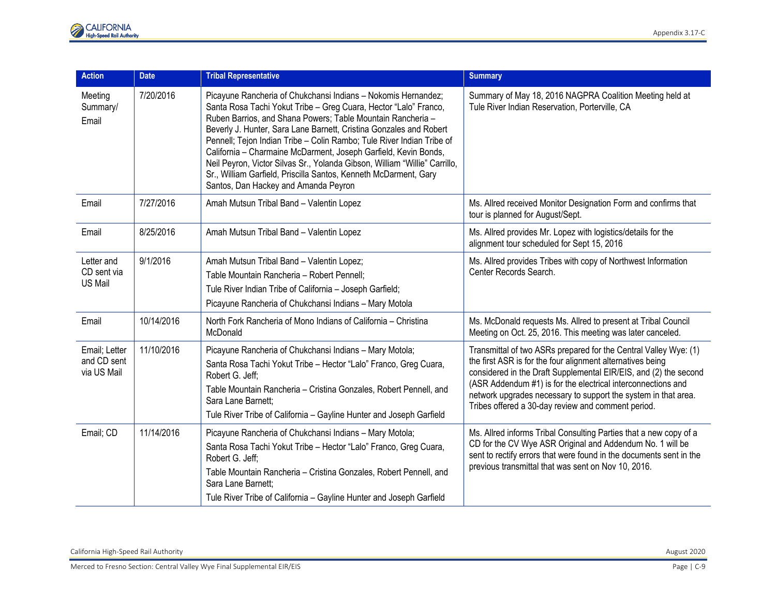| <b>Action</b>                               | <b>Date</b> | <b>Tribal Representative</b>                                                                                                                                                                                                                                                                                                                                                                                                                                                                                                                                                                                 | <b>Summary</b>                                                                                                                                                                                                                                                                                                                                                                             |
|---------------------------------------------|-------------|--------------------------------------------------------------------------------------------------------------------------------------------------------------------------------------------------------------------------------------------------------------------------------------------------------------------------------------------------------------------------------------------------------------------------------------------------------------------------------------------------------------------------------------------------------------------------------------------------------------|--------------------------------------------------------------------------------------------------------------------------------------------------------------------------------------------------------------------------------------------------------------------------------------------------------------------------------------------------------------------------------------------|
| Meeting<br>Summary/<br>Email                | 7/20/2016   | Picayune Rancheria of Chukchansi Indians - Nokomis Hernandez;<br>Santa Rosa Tachi Yokut Tribe - Greg Cuara, Hector "Lalo" Franco,<br>Ruben Barrios, and Shana Powers; Table Mountain Rancheria -<br>Beverly J. Hunter, Sara Lane Barnett, Cristina Gonzales and Robert<br>Pennell; Tejon Indian Tribe - Colin Rambo; Tule River Indian Tribe of<br>California - Charmaine McDarment, Joseph Garfield, Kevin Bonds,<br>Neil Peyron, Victor Silvas Sr., Yolanda Gibson, William "Willie" Carrillo,<br>Sr., William Garfield, Priscilla Santos, Kenneth McDarment, Gary<br>Santos, Dan Hackey and Amanda Peyron | Summary of May 18, 2016 NAGPRA Coalition Meeting held at<br>Tule River Indian Reservation, Porterville, CA                                                                                                                                                                                                                                                                                 |
| Email                                       | 7/27/2016   | Amah Mutsun Tribal Band - Valentin Lopez                                                                                                                                                                                                                                                                                                                                                                                                                                                                                                                                                                     | Ms. Allred received Monitor Designation Form and confirms that<br>tour is planned for August/Sept.                                                                                                                                                                                                                                                                                         |
| Email                                       | 8/25/2016   | Amah Mutsun Tribal Band - Valentin Lopez                                                                                                                                                                                                                                                                                                                                                                                                                                                                                                                                                                     | Ms. Allred provides Mr. Lopez with logistics/details for the<br>alignment tour scheduled for Sept 15, 2016                                                                                                                                                                                                                                                                                 |
| Letter and<br>CD sent via<br><b>US Mail</b> | 9/1/2016    | Amah Mutsun Tribal Band - Valentin Lopez;<br>Table Mountain Rancheria - Robert Pennell;<br>Tule River Indian Tribe of California - Joseph Garfield;<br>Picayune Rancheria of Chukchansi Indians - Mary Motola                                                                                                                                                                                                                                                                                                                                                                                                | Ms. Allred provides Tribes with copy of Northwest Information<br>Center Records Search.                                                                                                                                                                                                                                                                                                    |
| Email                                       | 10/14/2016  | North Fork Rancheria of Mono Indians of California – Christina<br>McDonald                                                                                                                                                                                                                                                                                                                                                                                                                                                                                                                                   | Ms. McDonald requests Ms. Allred to present at Tribal Council<br>Meeting on Oct. 25, 2016. This meeting was later canceled.                                                                                                                                                                                                                                                                |
| Email; Letter<br>and CD sent<br>via US Mail | 11/10/2016  | Picayune Rancheria of Chukchansi Indians - Mary Motola;<br>Santa Rosa Tachi Yokut Tribe - Hector "Lalo" Franco, Greg Cuara,<br>Robert G. Jeff:<br>Table Mountain Rancheria - Cristina Gonzales, Robert Pennell, and<br>Sara Lane Barnett:<br>Tule River Tribe of California - Gayline Hunter and Joseph Garfield                                                                                                                                                                                                                                                                                             | Transmittal of two ASRs prepared for the Central Valley Wye: (1)<br>the first ASR is for the four alignment alternatives being<br>considered in the Draft Supplemental EIR/EIS, and (2) the second<br>(ASR Addendum #1) is for the electrical interconnections and<br>network upgrades necessary to support the system in that area.<br>Tribes offered a 30-day review and comment period. |
| Email; CD                                   | 11/14/2016  | Picayune Rancheria of Chukchansi Indians - Mary Motola;<br>Santa Rosa Tachi Yokut Tribe - Hector "Lalo" Franco, Greg Cuara,<br>Robert G. Jeff;<br>Table Mountain Rancheria - Cristina Gonzales, Robert Pennell, and<br>Sara Lane Barnett:<br>Tule River Tribe of California - Gayline Hunter and Joseph Garfield                                                                                                                                                                                                                                                                                             | Ms. Allred informs Tribal Consulting Parties that a new copy of a<br>CD for the CV Wye ASR Original and Addendum No. 1 will be<br>sent to rectify errors that were found in the documents sent in the<br>previous transmittal that was sent on Nov 10, 2016.                                                                                                                               |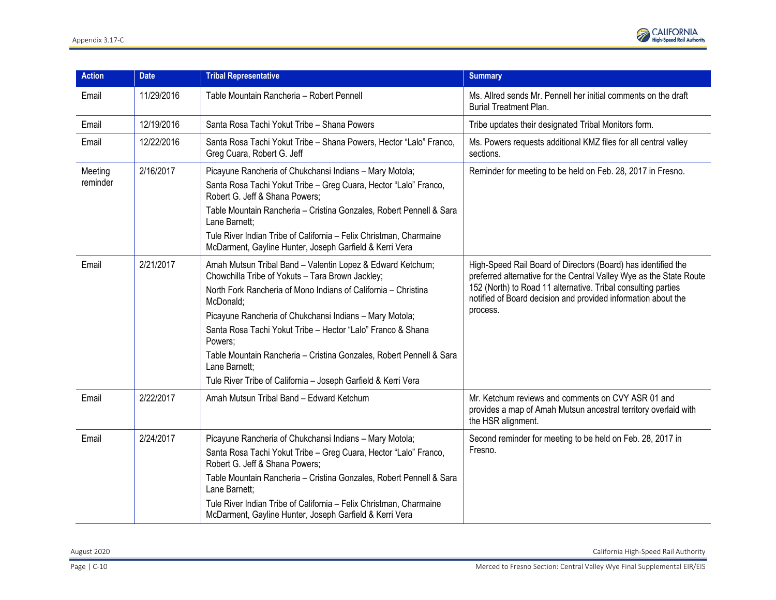

| <b>Action</b>       | <b>Date</b> | <b>Tribal Representative</b>                                                                                                                                                                                                                                                                                                                                                                                                                                                                | <b>Summary</b>                                                                                                                                                                                                                                                                     |
|---------------------|-------------|---------------------------------------------------------------------------------------------------------------------------------------------------------------------------------------------------------------------------------------------------------------------------------------------------------------------------------------------------------------------------------------------------------------------------------------------------------------------------------------------|------------------------------------------------------------------------------------------------------------------------------------------------------------------------------------------------------------------------------------------------------------------------------------|
| Email               | 11/29/2016  | Table Mountain Rancheria - Robert Pennell                                                                                                                                                                                                                                                                                                                                                                                                                                                   | Ms. Allred sends Mr. Pennell her initial comments on the draft<br><b>Burial Treatment Plan.</b>                                                                                                                                                                                    |
| Email               | 12/19/2016  | Santa Rosa Tachi Yokut Tribe - Shana Powers                                                                                                                                                                                                                                                                                                                                                                                                                                                 | Tribe updates their designated Tribal Monitors form.                                                                                                                                                                                                                               |
| Email               | 12/22/2016  | Santa Rosa Tachi Yokut Tribe - Shana Powers, Hector "Lalo" Franco,<br>Greg Cuara, Robert G. Jeff                                                                                                                                                                                                                                                                                                                                                                                            | Ms. Powers requests additional KMZ files for all central valley<br>sections.                                                                                                                                                                                                       |
| Meeting<br>reminder | 2/16/2017   | Picayune Rancheria of Chukchansi Indians - Mary Motola;<br>Santa Rosa Tachi Yokut Tribe - Greg Cuara, Hector "Lalo" Franco,<br>Robert G. Jeff & Shana Powers;<br>Table Mountain Rancheria - Cristina Gonzales, Robert Pennell & Sara<br>Lane Barnett:<br>Tule River Indian Tribe of California - Felix Christman, Charmaine                                                                                                                                                                 | Reminder for meeting to be held on Feb. 28, 2017 in Fresno.                                                                                                                                                                                                                        |
|                     |             | McDarment, Gayline Hunter, Joseph Garfield & Kerri Vera                                                                                                                                                                                                                                                                                                                                                                                                                                     |                                                                                                                                                                                                                                                                                    |
| Email               | 2/21/2017   | Amah Mutsun Tribal Band - Valentin Lopez & Edward Ketchum;<br>Chowchilla Tribe of Yokuts - Tara Brown Jackley;<br>North Fork Rancheria of Mono Indians of California – Christina<br>McDonald:<br>Picayune Rancheria of Chukchansi Indians - Mary Motola;<br>Santa Rosa Tachi Yokut Tribe - Hector "Lalo" Franco & Shana<br>Powers;<br>Table Mountain Rancheria - Cristina Gonzales, Robert Pennell & Sara<br>Lane Barnett:<br>Tule River Tribe of California - Joseph Garfield & Kerri Vera | High-Speed Rail Board of Directors (Board) has identified the<br>preferred alternative for the Central Valley Wye as the State Route<br>152 (North) to Road 11 alternative. Tribal consulting parties<br>notified of Board decision and provided information about the<br>process. |
| Email               | 2/22/2017   | Amah Mutsun Tribal Band - Edward Ketchum                                                                                                                                                                                                                                                                                                                                                                                                                                                    | Mr. Ketchum reviews and comments on CVY ASR 01 and<br>provides a map of Amah Mutsun ancestral territory overlaid with<br>the HSR alignment.                                                                                                                                        |
| Email               | 2/24/2017   | Picayune Rancheria of Chukchansi Indians - Mary Motola;<br>Santa Rosa Tachi Yokut Tribe - Greg Cuara, Hector "Lalo" Franco,<br>Robert G. Jeff & Shana Powers;<br>Table Mountain Rancheria - Cristina Gonzales, Robert Pennell & Sara<br>Lane Barnett;<br>Tule River Indian Tribe of California - Felix Christman, Charmaine<br>McDarment, Gayline Hunter, Joseph Garfield & Kerri Vera                                                                                                      | Second reminder for meeting to be held on Feb. 28, 2017 in<br>Fresno.                                                                                                                                                                                                              |

August 2020 California High-Speed Rail Authority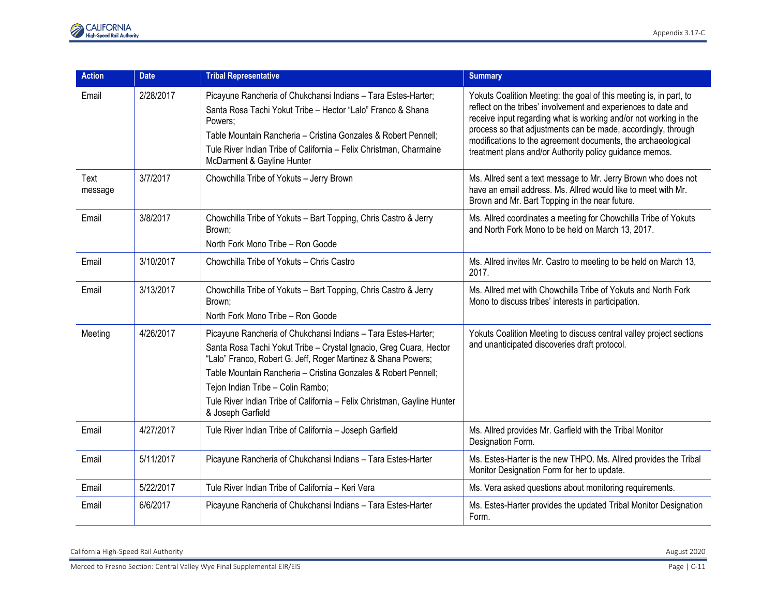| <b>Action</b>   | <b>Date</b> | <b>Tribal Representative</b>                                                                                                                                                                                                                                                                                                                                                                                | <b>Summary</b>                                                                                                                                                                                                                                                                                                                                                                                        |
|-----------------|-------------|-------------------------------------------------------------------------------------------------------------------------------------------------------------------------------------------------------------------------------------------------------------------------------------------------------------------------------------------------------------------------------------------------------------|-------------------------------------------------------------------------------------------------------------------------------------------------------------------------------------------------------------------------------------------------------------------------------------------------------------------------------------------------------------------------------------------------------|
| Email           | 2/28/2017   | Picayune Rancheria of Chukchansi Indians - Tara Estes-Harter;<br>Santa Rosa Tachi Yokut Tribe - Hector "Lalo" Franco & Shana<br>Powers:<br>Table Mountain Rancheria - Cristina Gonzales & Robert Pennell;<br>Tule River Indian Tribe of California - Felix Christman, Charmaine<br>McDarment & Gayline Hunter                                                                                               | Yokuts Coalition Meeting: the goal of this meeting is, in part, to<br>reflect on the tribes' involvement and experiences to date and<br>receive input regarding what is working and/or not working in the<br>process so that adjustments can be made, accordingly, through<br>modifications to the agreement documents, the archaeological<br>treatment plans and/or Authority policy guidance memos. |
| Text<br>message | 3/7/2017    | Chowchilla Tribe of Yokuts - Jerry Brown                                                                                                                                                                                                                                                                                                                                                                    | Ms. Allred sent a text message to Mr. Jerry Brown who does not<br>have an email address. Ms. Allred would like to meet with Mr.<br>Brown and Mr. Bart Topping in the near future.                                                                                                                                                                                                                     |
| Email           | 3/8/2017    | Chowchilla Tribe of Yokuts - Bart Topping, Chris Castro & Jerry<br>Brown;<br>North Fork Mono Tribe - Ron Goode                                                                                                                                                                                                                                                                                              | Ms. Allred coordinates a meeting for Chowchilla Tribe of Yokuts<br>and North Fork Mono to be held on March 13, 2017.                                                                                                                                                                                                                                                                                  |
| Email           | 3/10/2017   | Chowchilla Tribe of Yokuts - Chris Castro                                                                                                                                                                                                                                                                                                                                                                   | Ms. Allred invites Mr. Castro to meeting to be held on March 13,<br>2017.                                                                                                                                                                                                                                                                                                                             |
| Email           | 3/13/2017   | Chowchilla Tribe of Yokuts - Bart Topping, Chris Castro & Jerry<br>Brown;<br>North Fork Mono Tribe - Ron Goode                                                                                                                                                                                                                                                                                              | Ms. Allred met with Chowchilla Tribe of Yokuts and North Fork<br>Mono to discuss tribes' interests in participation.                                                                                                                                                                                                                                                                                  |
| Meeting         | 4/26/2017   | Picayune Rancheria of Chukchansi Indians - Tara Estes-Harter;<br>Santa Rosa Tachi Yokut Tribe - Crystal Ignacio, Greg Cuara, Hector<br>"Lalo" Franco, Robert G. Jeff, Roger Martinez & Shana Powers;<br>Table Mountain Rancheria - Cristina Gonzales & Robert Pennell:<br>Tejon Indian Tribe - Colin Rambo;<br>Tule River Indian Tribe of California - Felix Christman, Gayline Hunter<br>& Joseph Garfield | Yokuts Coalition Meeting to discuss central valley project sections<br>and unanticipated discoveries draft protocol.                                                                                                                                                                                                                                                                                  |
| Email           | 4/27/2017   | Tule River Indian Tribe of California - Joseph Garfield                                                                                                                                                                                                                                                                                                                                                     | Ms. Allred provides Mr. Garfield with the Tribal Monitor<br>Designation Form.                                                                                                                                                                                                                                                                                                                         |
| Email           | 5/11/2017   | Picayune Rancheria of Chukchansi Indians - Tara Estes-Harter                                                                                                                                                                                                                                                                                                                                                | Ms. Estes-Harter is the new THPO. Ms. Allred provides the Tribal<br>Monitor Designation Form for her to update.                                                                                                                                                                                                                                                                                       |
| Email           | 5/22/2017   | Tule River Indian Tribe of California - Keri Vera                                                                                                                                                                                                                                                                                                                                                           | Ms. Vera asked questions about monitoring requirements.                                                                                                                                                                                                                                                                                                                                               |
| Email           | 6/6/2017    | Picayune Rancheria of Chukchansi Indians - Tara Estes-Harter                                                                                                                                                                                                                                                                                                                                                | Ms. Estes-Harter provides the updated Tribal Monitor Designation<br>Form.                                                                                                                                                                                                                                                                                                                             |

California High-Speed Rail Authority **August 2020**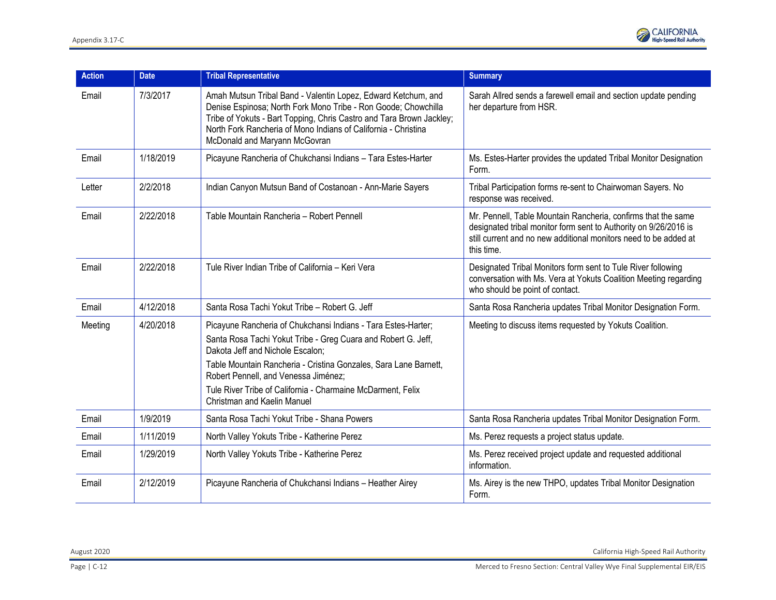| <b>Action</b> | <b>Date</b> | <b>Tribal Representative</b>                                                                                                                                                                                                                                                                                                                                                        | <b>Summary</b>                                                                                                                                                                                                      |
|---------------|-------------|-------------------------------------------------------------------------------------------------------------------------------------------------------------------------------------------------------------------------------------------------------------------------------------------------------------------------------------------------------------------------------------|---------------------------------------------------------------------------------------------------------------------------------------------------------------------------------------------------------------------|
| Email         | 7/3/2017    | Amah Mutsun Tribal Band - Valentin Lopez, Edward Ketchum, and<br>Denise Espinosa; North Fork Mono Tribe - Ron Goode; Chowchilla<br>Tribe of Yokuts - Bart Topping, Chris Castro and Tara Brown Jackley;<br>North Fork Rancheria of Mono Indians of California - Christina<br>McDonald and Maryann McGovran                                                                          | Sarah Allred sends a farewell email and section update pending<br>her departure from HSR.                                                                                                                           |
| Email         | 1/18/2019   | Picayune Rancheria of Chukchansi Indians - Tara Estes-Harter                                                                                                                                                                                                                                                                                                                        | Ms. Estes-Harter provides the updated Tribal Monitor Designation<br>Form.                                                                                                                                           |
| Letter        | 2/2/2018    | Indian Canyon Mutsun Band of Costanoan - Ann-Marie Sayers                                                                                                                                                                                                                                                                                                                           | Tribal Participation forms re-sent to Chairwoman Sayers. No<br>response was received.                                                                                                                               |
| Email         | 2/22/2018   | Table Mountain Rancheria - Robert Pennell                                                                                                                                                                                                                                                                                                                                           | Mr. Pennell, Table Mountain Rancheria, confirms that the same<br>designated tribal monitor form sent to Authority on 9/26/2016 is<br>still current and no new additional monitors need to be added at<br>this time. |
| Email         | 2/22/2018   | Tule River Indian Tribe of California - Keri Vera                                                                                                                                                                                                                                                                                                                                   | Designated Tribal Monitors form sent to Tule River following<br>conversation with Ms. Vera at Yokuts Coalition Meeting regarding<br>who should be point of contact.                                                 |
| Email         | 4/12/2018   | Santa Rosa Tachi Yokut Tribe - Robert G. Jeff                                                                                                                                                                                                                                                                                                                                       | Santa Rosa Rancheria updates Tribal Monitor Designation Form.                                                                                                                                                       |
| Meeting       | 4/20/2018   | Picayune Rancheria of Chukchansi Indians - Tara Estes-Harter;<br>Santa Rosa Tachi Yokut Tribe - Greg Cuara and Robert G. Jeff,<br>Dakota Jeff and Nichole Escalon;<br>Table Mountain Rancheria - Cristina Gonzales, Sara Lane Barnett,<br>Robert Pennell, and Venessa Jiménez;<br>Tule River Tribe of California - Charmaine McDarment, Felix<br><b>Christman and Kaelin Manuel</b> | Meeting to discuss items requested by Yokuts Coalition.                                                                                                                                                             |
| Email         | 1/9/2019    | Santa Rosa Tachi Yokut Tribe - Shana Powers                                                                                                                                                                                                                                                                                                                                         | Santa Rosa Rancheria updates Tribal Monitor Designation Form.                                                                                                                                                       |
| Email         | 1/11/2019   | North Valley Yokuts Tribe - Katherine Perez                                                                                                                                                                                                                                                                                                                                         | Ms. Perez requests a project status update.                                                                                                                                                                         |
| Email         | 1/29/2019   | North Valley Yokuts Tribe - Katherine Perez                                                                                                                                                                                                                                                                                                                                         | Ms. Perez received project update and requested additional<br>information.                                                                                                                                          |
| Email         | 2/12/2019   | Picayune Rancheria of Chukchansi Indians - Heather Airey                                                                                                                                                                                                                                                                                                                            | Ms. Airey is the new THPO, updates Tribal Monitor Designation<br>Form.                                                                                                                                              |

August 2020 California High-Speed Rail Authority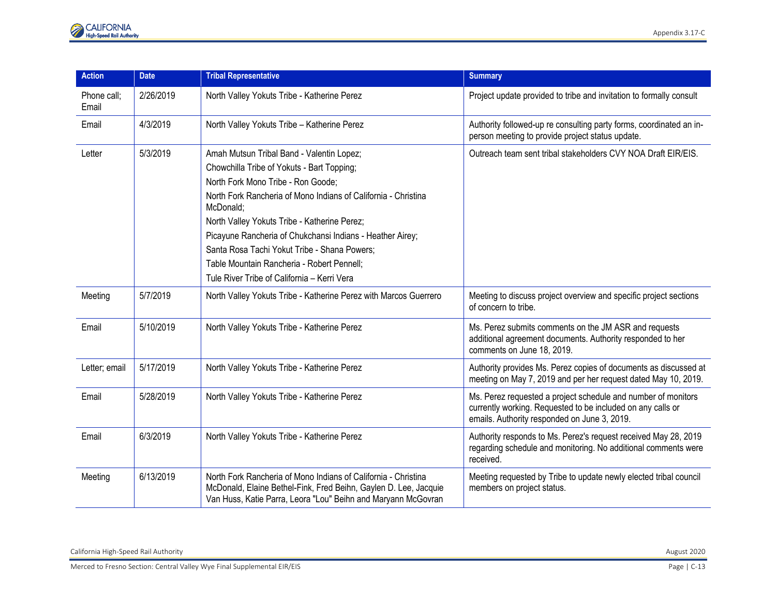| <b>Action</b>        | <b>Date</b> | <b>Tribal Representative</b>                                                                                                                                                                        | <b>Summary</b>                                                                                                                                                               |
|----------------------|-------------|-----------------------------------------------------------------------------------------------------------------------------------------------------------------------------------------------------|------------------------------------------------------------------------------------------------------------------------------------------------------------------------------|
| Phone call;<br>Email | 2/26/2019   | North Valley Yokuts Tribe - Katherine Perez                                                                                                                                                         | Project update provided to tribe and invitation to formally consult                                                                                                          |
| Email                | 4/3/2019    | North Valley Yokuts Tribe - Katherine Perez                                                                                                                                                         | Authority followed-up re consulting party forms, coordinated an in-<br>person meeting to provide project status update.                                                      |
| Letter               | 5/3/2019    | Amah Mutsun Tribal Band - Valentin Lopez;                                                                                                                                                           | Outreach team sent tribal stakeholders CVY NOA Draft EIR/EIS.                                                                                                                |
|                      |             | Chowchilla Tribe of Yokuts - Bart Topping;                                                                                                                                                          |                                                                                                                                                                              |
|                      |             | North Fork Mono Tribe - Ron Goode;                                                                                                                                                                  |                                                                                                                                                                              |
|                      |             | North Fork Rancheria of Mono Indians of California - Christina<br>McDonald;                                                                                                                         |                                                                                                                                                                              |
|                      |             | North Valley Yokuts Tribe - Katherine Perez;                                                                                                                                                        |                                                                                                                                                                              |
|                      |             | Picayune Rancheria of Chukchansi Indians - Heather Airey;                                                                                                                                           |                                                                                                                                                                              |
|                      |             | Santa Rosa Tachi Yokut Tribe - Shana Powers;                                                                                                                                                        |                                                                                                                                                                              |
|                      |             | Table Mountain Rancheria - Robert Pennell;                                                                                                                                                          |                                                                                                                                                                              |
|                      |             | Tule River Tribe of California - Kerri Vera                                                                                                                                                         |                                                                                                                                                                              |
| Meeting              | 5/7/2019    | North Valley Yokuts Tribe - Katherine Perez with Marcos Guerrero                                                                                                                                    | Meeting to discuss project overview and specific project sections<br>of concern to tribe.                                                                                    |
| Email                | 5/10/2019   | North Valley Yokuts Tribe - Katherine Perez                                                                                                                                                         | Ms. Perez submits comments on the JM ASR and requests<br>additional agreement documents. Authority responded to her<br>comments on June 18, 2019.                            |
| Letter; email        | 5/17/2019   | North Valley Yokuts Tribe - Katherine Perez                                                                                                                                                         | Authority provides Ms. Perez copies of documents as discussed at<br>meeting on May 7, 2019 and per her request dated May 10, 2019.                                           |
| Email                | 5/28/2019   | North Valley Yokuts Tribe - Katherine Perez                                                                                                                                                         | Ms. Perez requested a project schedule and number of monitors<br>currently working. Requested to be included on any calls or<br>emails. Authority responded on June 3, 2019. |
| Email                | 6/3/2019    | North Valley Yokuts Tribe - Katherine Perez                                                                                                                                                         | Authority responds to Ms. Perez's request received May 28, 2019<br>regarding schedule and monitoring. No additional comments were<br>received.                               |
| Meeting              | 6/13/2019   | North Fork Rancheria of Mono Indians of California - Christina<br>McDonald, Elaine Bethel-Fink, Fred Beihn, Gaylen D. Lee, Jacquie<br>Van Huss, Katie Parra, Leora "Lou" Beihn and Maryann McGovran | Meeting requested by Tribe to update newly elected tribal council<br>members on project status.                                                                              |